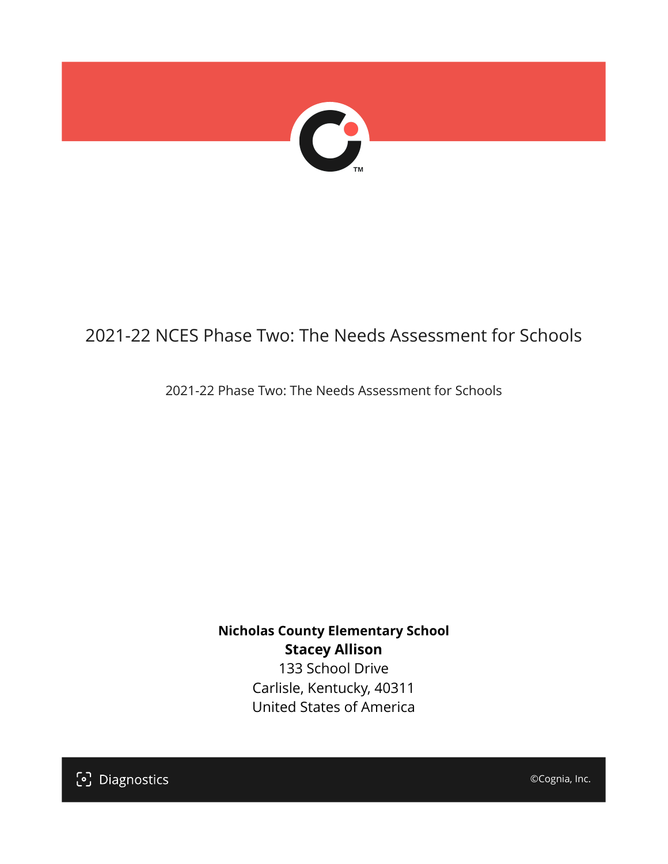

## 2021-22 NCES Phase Two: The Needs Assessment for Schools

2021-22 Phase Two: The Needs Assessment for Schools

**Nicholas County Elementary School Stacey Allison** 133 School Drive

Carlisle, Kentucky, 40311 United States of America

[၁] Diagnostics

©Cognia, Inc.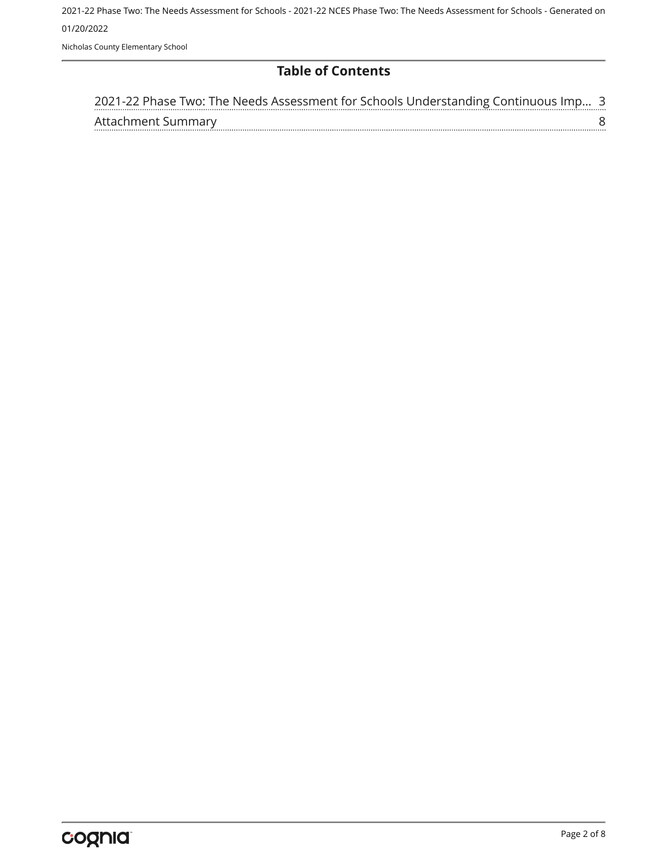Nicholas County Elementary School

#### **Table of Contents**

| 2021-22 Phase Two: The Needs Assessment for Schools Understanding Continuous Imp 3 |  |
|------------------------------------------------------------------------------------|--|
| Attachment Summary                                                                 |  |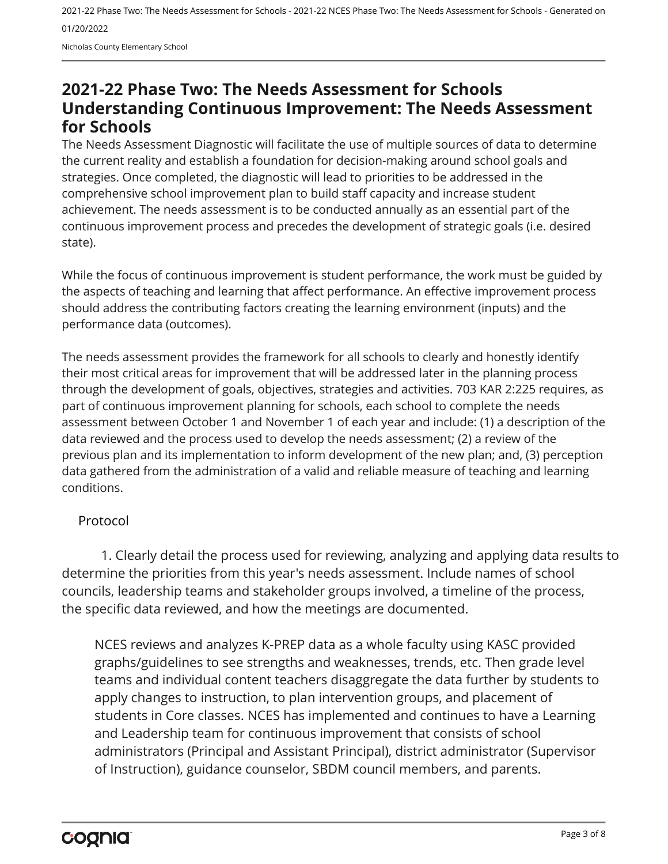### <span id="page-2-0"></span>**2021-22 Phase Two: The Needs Assessment for Schools Understanding Continuous Improvement: The Needs Assessment for Schools**

The Needs Assessment Diagnostic will facilitate the use of multiple sources of data to determine the current reality and establish a foundation for decision-making around school goals and strategies. Once completed, the diagnostic will lead to priorities to be addressed in the comprehensive school improvement plan to build staff capacity and increase student achievement. The needs assessment is to be conducted annually as an essential part of the continuous improvement process and precedes the development of strategic goals (i.e. desired state).

While the focus of continuous improvement is student performance, the work must be guided by the aspects of teaching and learning that affect performance. An effective improvement process should address the contributing factors creating the learning environment (inputs) and the performance data (outcomes).

The needs assessment provides the framework for all schools to clearly and honestly identify their most critical areas for improvement that will be addressed later in the planning process through the development of goals, objectives, strategies and activities. 703 KAR 2:225 requires, as part of continuous improvement planning for schools, each school to complete the needs assessment between October 1 and November 1 of each year and include: (1) a description of the data reviewed and the process used to develop the needs assessment; (2) a review of the previous plan and its implementation to inform development of the new plan; and, (3) perception data gathered from the administration of a valid and reliable measure of teaching and learning conditions.

#### Protocol

1. Clearly detail the process used for reviewing, analyzing and applying data results to determine the priorities from this year's needs assessment. Include names of school councils, leadership teams and stakeholder groups involved, a timeline of the process, the specific data reviewed, and how the meetings are documented.

NCES reviews and analyzes K-PREP data as a whole faculty using KASC provided graphs/guidelines to see strengths and weaknesses, trends, etc. Then grade level teams and individual content teachers disaggregate the data further by students to apply changes to instruction, to plan intervention groups, and placement of students in Core classes. NCES has implemented and continues to have a Learning and Leadership team for continuous improvement that consists of school administrators (Principal and Assistant Principal), district administrator (Supervisor of Instruction), guidance counselor, SBDM council members, and parents.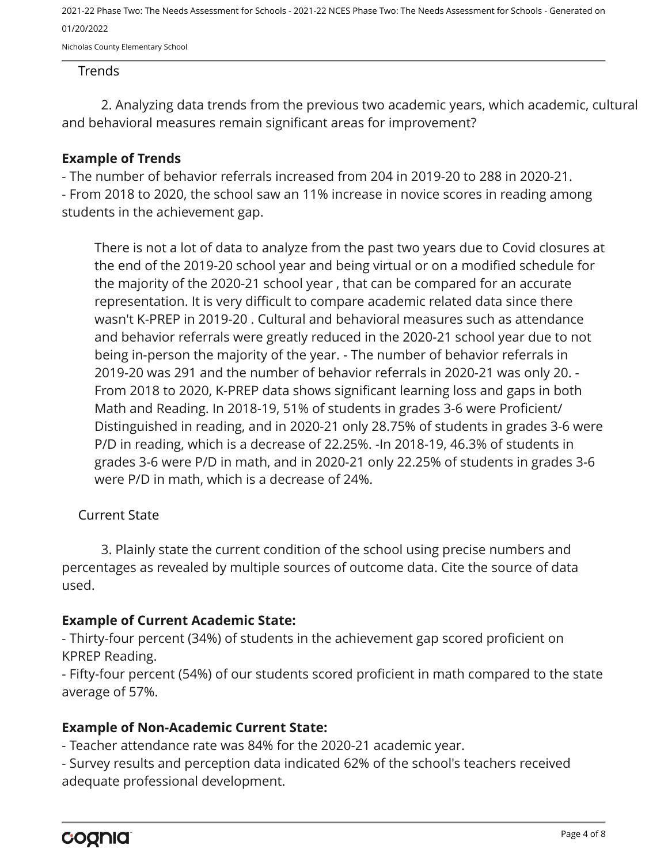Nicholas County Elementary School

#### Trends

2. Analyzing data trends from the previous two academic years, which academic, cultural and behavioral measures remain significant areas for improvement?

#### **Example of Trends**

- The number of behavior referrals increased from 204 in 2019-20 to 288 in 2020-21. - From 2018 to 2020, the school saw an 11% increase in novice scores in reading among students in the achievement gap.

There is not a lot of data to analyze from the past two years due to Covid closures at the end of the 2019-20 school year and being virtual or on a modified schedule for the majority of the 2020-21 school year , that can be compared for an accurate representation. It is very difficult to compare academic related data since there wasn't K-PREP in 2019-20 . Cultural and behavioral measures such as attendance and behavior referrals were greatly reduced in the 2020-21 school year due to not being in-person the majority of the year. - The number of behavior referrals in 2019-20 was 291 and the number of behavior referrals in 2020-21 was only 20. - From 2018 to 2020, K-PREP data shows significant learning loss and gaps in both Math and Reading. In 2018-19, 51% of students in grades 3-6 were Proficient/ Distinguished in reading, and in 2020-21 only 28.75% of students in grades 3-6 were P/D in reading, which is a decrease of 22.25%. -In 2018-19, 46.3% of students in grades 3-6 were P/D in math, and in 2020-21 only 22.25% of students in grades 3-6 were P/D in math, which is a decrease of 24%.

#### Current State

3. Plainly state the current condition of the school using precise numbers and percentages as revealed by multiple sources of outcome data. Cite the source of data used.

#### **Example of Current Academic State:**

- Thirty-four percent (34%) of students in the achievement gap scored proficient on KPREP Reading.

- Fifty-four percent (54%) of our students scored proficient in math compared to the state average of 57%.

#### **Example of Non-Academic Current State:**

- Teacher attendance rate was 84% for the 2020-21 academic year.

- Survey results and perception data indicated 62% of the school's teachers received adequate professional development.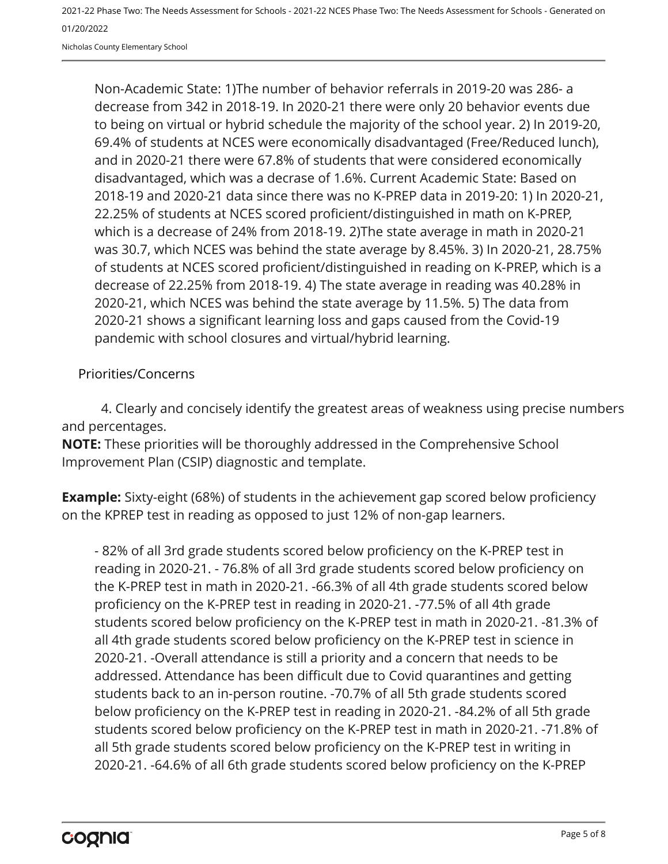Nicholas County Elementary School

Non-Academic State: 1)The number of behavior referrals in 2019-20 was 286- a decrease from 342 in 2018-19. In 2020-21 there were only 20 behavior events due to being on virtual or hybrid schedule the majority of the school year. 2) In 2019-20, 69.4% of students at NCES were economically disadvantaged (Free/Reduced lunch), and in 2020-21 there were 67.8% of students that were considered economically disadvantaged, which was a decrase of 1.6%. Current Academic State: Based on 2018-19 and 2020-21 data since there was no K-PREP data in 2019-20: 1) In 2020-21, 22.25% of students at NCES scored proficient/distinguished in math on K-PREP, which is a decrease of 24% from 2018-19. 2)The state average in math in 2020-21 was 30.7, which NCES was behind the state average by 8.45%. 3) In 2020-21, 28.75% of students at NCES scored proficient/distinguished in reading on K-PREP, which is a decrease of 22.25% from 2018-19. 4) The state average in reading was 40.28% in 2020-21, which NCES was behind the state average by 11.5%. 5) The data from 2020-21 shows a significant learning loss and gaps caused from the Covid-19 pandemic with school closures and virtual/hybrid learning.

Priorities/Concerns

4. Clearly and concisely identify the greatest areas of weakness using precise numbers and percentages.

**NOTE:** These priorities will be thoroughly addressed in the Comprehensive School Improvement Plan (CSIP) diagnostic and template.

**Example:** Sixty-eight (68%) of students in the achievement gap scored below proficiency on the KPREP test in reading as opposed to just 12% of non-gap learners.

- 82% of all 3rd grade students scored below proficiency on the K-PREP test in reading in 2020-21. - 76.8% of all 3rd grade students scored below proficiency on the K-PREP test in math in 2020-21. -66.3% of all 4th grade students scored below proficiency on the K-PREP test in reading in 2020-21. -77.5% of all 4th grade students scored below proficiency on the K-PREP test in math in 2020-21. -81.3% of all 4th grade students scored below proficiency on the K-PREP test in science in 2020-21. -Overall attendance is still a priority and a concern that needs to be addressed. Attendance has been difficult due to Covid quarantines and getting students back to an in-person routine. -70.7% of all 5th grade students scored below proficiency on the K-PREP test in reading in 2020-21. -84.2% of all 5th grade students scored below proficiency on the K-PREP test in math in 2020-21. -71.8% of all 5th grade students scored below proficiency on the K-PREP test in writing in 2020-21. -64.6% of all 6th grade students scored below proficiency on the K-PREP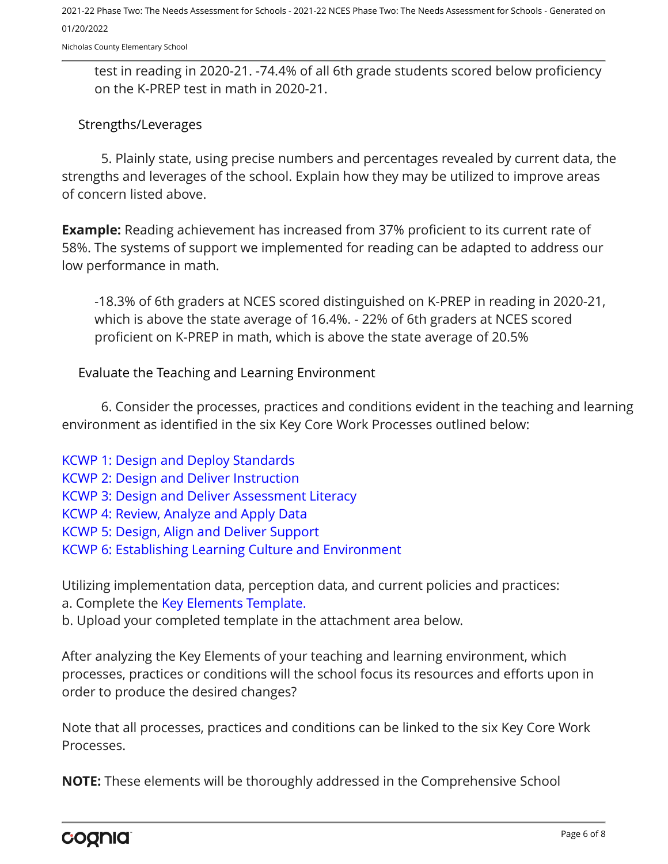Nicholas County Elementary School

test in reading in 2020-21. -74.4% of all 6th grade students scored below proficiency on the K-PREP test in math in 2020-21.

#### Strengths/Leverages

5. Plainly state, using precise numbers and percentages revealed by current data, the strengths and leverages of the school. Explain how they may be utilized to improve areas of concern listed above.

**Example:** Reading achievement has increased from 37% proficient to its current rate of 58%. The systems of support we implemented for reading can be adapted to address our low performance in math.

-18.3% of 6th graders at NCES scored distinguished on K-PREP in reading in 2020-21, which is above the state average of 16.4%. - 22% of 6th graders at NCES scored proficient on K-PREP in math, which is above the state average of 20.5%

Evaluate the Teaching and Learning Environment

6. Consider the processes, practices and conditions evident in the teaching and learning environment as identified in the six Key Core Work Processes outlined below:

[KCWP 1: Design and Deploy Standards](https://education.ky.gov/school/csip/Documents/KCWP%201%20Strategic%20Design%20and%20Deploy%20Standards.pdf) [KCWP 2: Design and Deliver Instruction](https://education.ky.gov/school/csip/Documents/KCWP%202%20Strategic%20Design%20and%20Deliver%20Instruction.pdf) [KCWP 3: Design and Deliver Assessment Literacy](https://education.ky.gov/school/csip/Documents/KCWP%203%20Strategic%20Design%20and%20Deliver%20Assessment%20Literacy.pdf) [KCWP 4: Review, Analyze and Apply Data](https://education.ky.gov/school/csip/Documents/KCWP%204%20Strategic%20Review%20Analyze%20and%20Apply%20Data.pdf) [KCWP 5: Design, Align and Deliver Support](https://education.ky.gov/school/csip/Documents/KCWP%205%20Strategic%20Design%20Align%20Deliver%20Support%20Processes.pdf) [KCWP 6: Establishing Learning Culture and Environment](https://education.ky.gov/school/csip/Documents/KCWP%206%20Strategic%20Establish%20Learning%20Culture%20and%20Environment.pdf)

Utilizing implementation data, perception data, and current policies and practices:

a. Complete the [Key Elements Template.](https://education.ky.gov/school/csip/Documents/School%20Key%20Elements%20Template.docx)

b. Upload your completed template in the attachment area below.

After analyzing the Key Elements of your teaching and learning environment, which processes, practices or conditions will the school focus its resources and efforts upon in order to produce the desired changes?

Note that all processes, practices and conditions can be linked to the six Key Core Work Processes.

**NOTE:** These elements will be thoroughly addressed in the Comprehensive School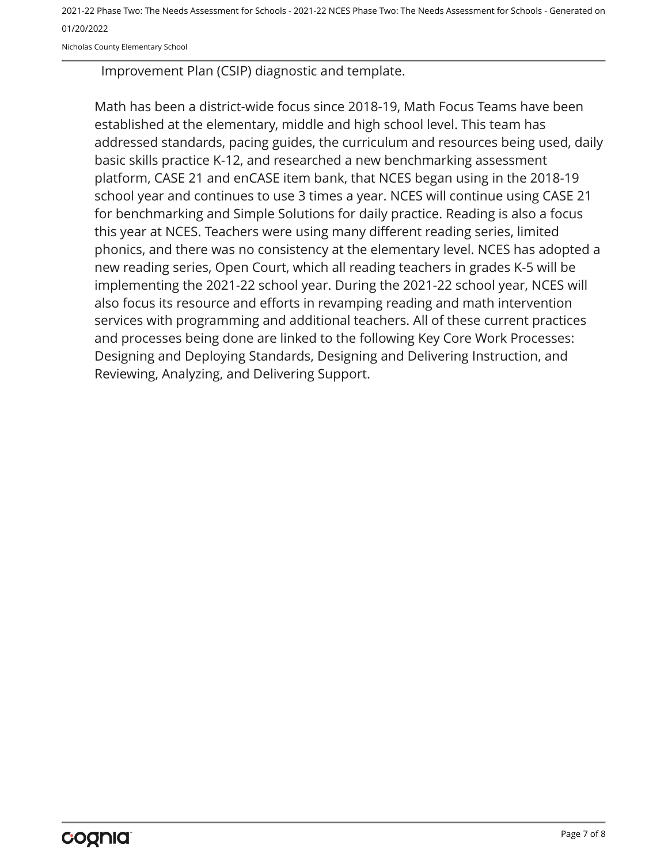Nicholas County Elementary School

Improvement Plan (CSIP) diagnostic and template.

Math has been a district-wide focus since 2018-19, Math Focus Teams have been established at the elementary, middle and high school level. This team has addressed standards, pacing guides, the curriculum and resources being used, daily basic skills practice K-12, and researched a new benchmarking assessment platform, CASE 21 and enCASE item bank, that NCES began using in the 2018-19 school year and continues to use 3 times a year. NCES will continue using CASE 21 for benchmarking and Simple Solutions for daily practice. Reading is also a focus this year at NCES. Teachers were using many different reading series, limited phonics, and there was no consistency at the elementary level. NCES has adopted a new reading series, Open Court, which all reading teachers in grades K-5 will be implementing the 2021-22 school year. During the 2021-22 school year, NCES will also focus its resource and efforts in revamping reading and math intervention services with programming and additional teachers. All of these current practices and processes being done are linked to the following Key Core Work Processes: Designing and Deploying Standards, Designing and Delivering Instruction, and Reviewing, Analyzing, and Delivering Support.